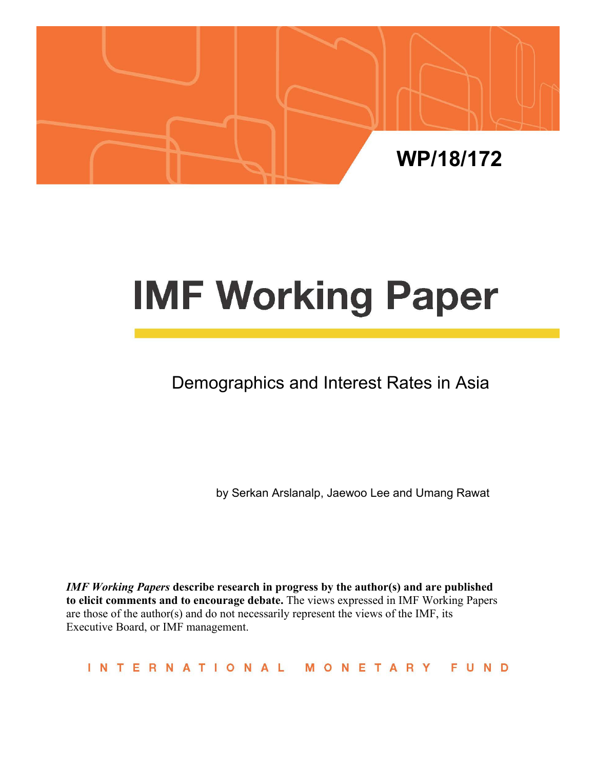

# **IMF Working Paper**

Demographics and Interest Rates in Asia

by Serkan Arslanalp, Jaewoo Lee and Umang Rawat

*IMF Working Papers* **describe research in progress by the author(s) and are published to elicit comments and to encourage debate.** The views expressed in IMF Working Papers are those of the author(s) and do not necessarily represent the views of the IMF, its Executive Board, or IMF management.

INTERNATIONAL MONETARY FUND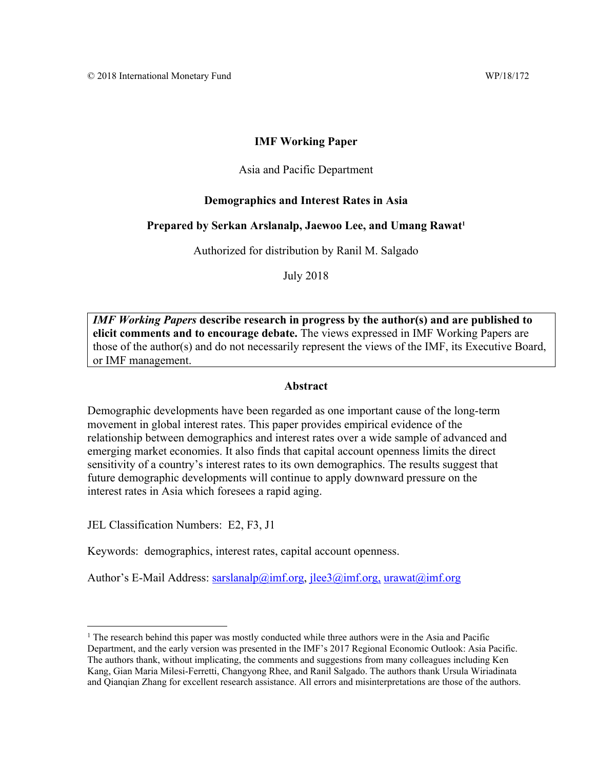## **IMF Working Paper**

#### Asia and Pacific Department

## **Demographics and Interest Rates in Asia**

#### Prepared by Serkan Arslanalp, Jaewoo Lee, and Umang Rawat<sup>1</sup>

Authorized for distribution by Ranil M. Salgado

July 2018

*IMF Working Papers* **describe research in progress by the author(s) and are published to elicit comments and to encourage debate.** The views expressed in IMF Working Papers are those of the author(s) and do not necessarily represent the views of the IMF, its Executive Board, or IMF management.

### **Abstract**

Demographic developments have been regarded as one important cause of the long-term movement in global interest rates. This paper provides empirical evidence of the relationship between demographics and interest rates over a wide sample of advanced and emerging market economies. It also finds that capital account openness limits the direct sensitivity of a country's interest rates to its own demographics. The results suggest that future demographic developments will continue to apply downward pressure on the interest rates in Asia which foresees a rapid aging.

JEL Classification Numbers: E2, F3, J1

Keywords: demographics, interest rates, capital account openness.

Author's E-Mail Address: sarslanalp@imf.org, jlee3@imf.org, urawat@imf.org

<sup>&</sup>lt;sup>1</sup> The research behind this paper was mostly conducted while three authors were in the Asia and Pacific Department, and the early version was presented in the IMF's 2017 Regional Economic Outlook: Asia Pacific. The authors thank, without implicating, the comments and suggestions from many colleagues including Ken Kang, Gian Maria Milesi-Ferretti, Changyong Rhee, and Ranil Salgado. The authors thank Ursula Wiriadinata and Qianqian Zhang for excellent research assistance. All errors and misinterpretations are those of the authors.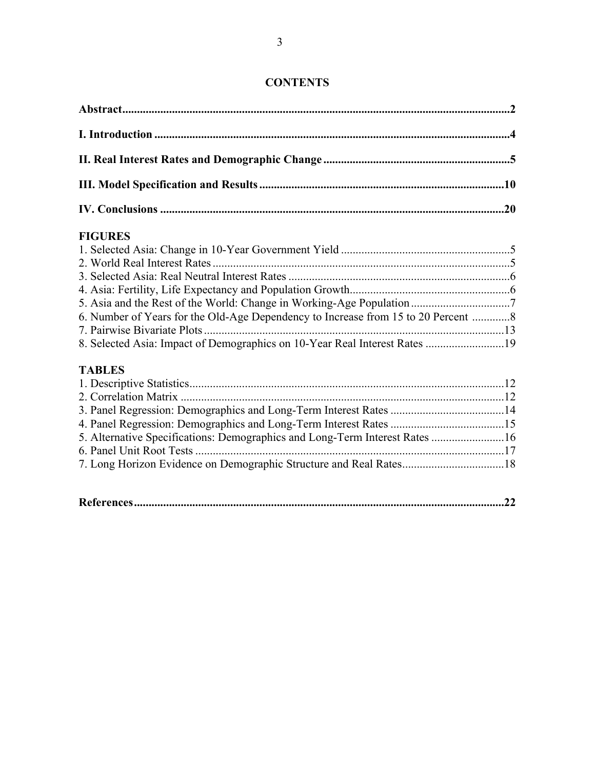| <b>FIGURES</b> |  |
|----------------|--|
|                |  |
|                |  |
|                |  |

# **CONTENTS**

| 6. Number of Years for the Old-Age Dependency to Increase from 15 to 20 Percent 8 |  |
|-----------------------------------------------------------------------------------|--|
|                                                                                   |  |
| 8. Selected Asia: Impact of Demographics on 10-Year Real Interest Rates 19        |  |
| <b>TABLES</b>                                                                     |  |
|                                                                                   |  |
| 2. Correlation Matrix                                                             |  |

4. Asia: Fertility, Life Expectancy and Population Growth .......................................................6

| 5. Alternative Specifications: Demographics and Long-Term Interest Rates 16 |  |
|-----------------------------------------------------------------------------|--|
|                                                                             |  |
|                                                                             |  |
|                                                                             |  |

|--|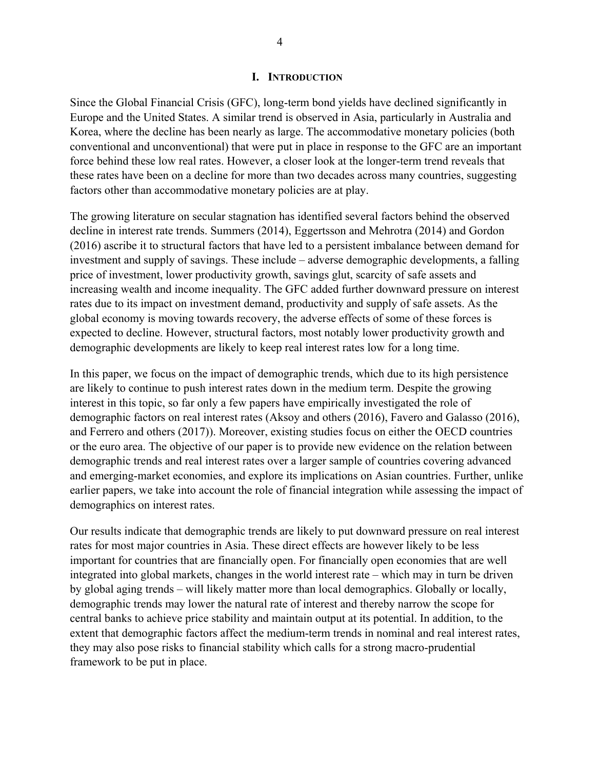#### **I. INTRODUCTION**

Since the Global Financial Crisis (GFC), long-term bond yields have declined significantly in Europe and the United States. A similar trend is observed in Asia, particularly in Australia and Korea, where the decline has been nearly as large. The accommodative monetary policies (both conventional and unconventional) that were put in place in response to the GFC are an important force behind these low real rates. However, a closer look at the longer-term trend reveals that these rates have been on a decline for more than two decades across many countries, suggesting factors other than accommodative monetary policies are at play.

The growing literature on secular stagnation has identified several factors behind the observed decline in interest rate trends. Summers (2014), Eggertsson and Mehrotra (2014) and Gordon (2016) ascribe it to structural factors that have led to a persistent imbalance between demand for investment and supply of savings. These include – adverse demographic developments, a falling price of investment, lower productivity growth, savings glut, scarcity of safe assets and increasing wealth and income inequality. The GFC added further downward pressure on interest rates due to its impact on investment demand, productivity and supply of safe assets. As the global economy is moving towards recovery, the adverse effects of some of these forces is expected to decline. However, structural factors, most notably lower productivity growth and demographic developments are likely to keep real interest rates low for a long time.

In this paper, we focus on the impact of demographic trends, which due to its high persistence are likely to continue to push interest rates down in the medium term. Despite the growing interest in this topic, so far only a few papers have empirically investigated the role of demographic factors on real interest rates (Aksoy and others (2016), Favero and Galasso (2016), and Ferrero and others (2017)). Moreover, existing studies focus on either the OECD countries or the euro area. The objective of our paper is to provide new evidence on the relation between demographic trends and real interest rates over a larger sample of countries covering advanced and emerging-market economies, and explore its implications on Asian countries. Further, unlike earlier papers, we take into account the role of financial integration while assessing the impact of demographics on interest rates.

Our results indicate that demographic trends are likely to put downward pressure on real interest rates for most major countries in Asia. These direct effects are however likely to be less important for countries that are financially open. For financially open economies that are well integrated into global markets, changes in the world interest rate – which may in turn be driven by global aging trends – will likely matter more than local demographics. Globally or locally, demographic trends may lower the natural rate of interest and thereby narrow the scope for central banks to achieve price stability and maintain output at its potential. In addition, to the extent that demographic factors affect the medium-term trends in nominal and real interest rates, they may also pose risks to financial stability which calls for a strong macro-prudential framework to be put in place.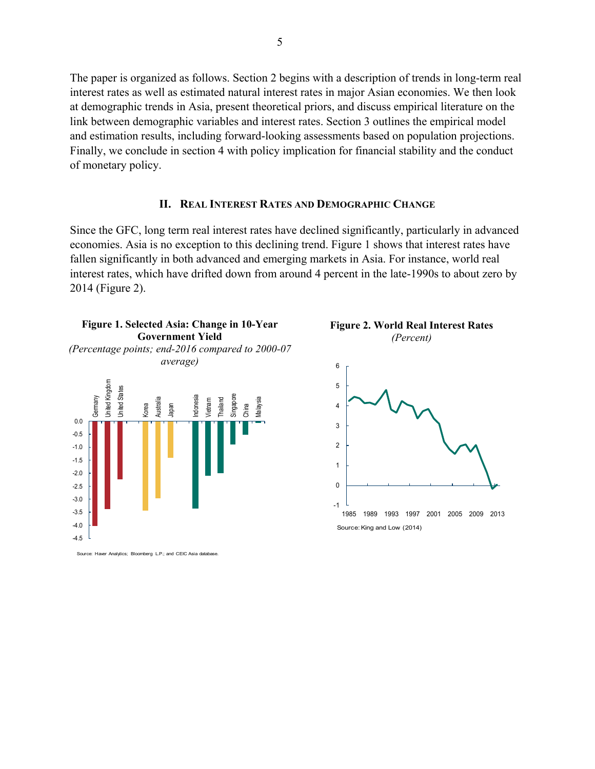The paper is organized as follows. Section 2 begins with a description of trends in long-term real interest rates as well as estimated natural interest rates in major Asian economies. We then look at demographic trends in Asia, present theoretical priors, and discuss empirical literature on the link between demographic variables and interest rates. Section 3 outlines the empirical model and estimation results, including forward-looking assessments based on population projections. Finally, we conclude in section 4 with policy implication for financial stability and the conduct of monetary policy.

#### **II. REAL INTEREST RATES AND DEMOGRAPHIC CHANGE**

Since the GFC, long term real interest rates have declined significantly, particularly in advanced economies. Asia is no exception to this declining trend. Figure 1 shows that interest rates have fallen significantly in both advanced and emerging markets in Asia. For instance, world real interest rates, which have drifted down from around 4 percent in the late-1990s to about zero by 2014 (Figure 2).



Source: Haver Analytics; Bloomberg L.P.; and CEIC Asia datal

**Figure 2. World Real Interest Rates** *(Percent)*

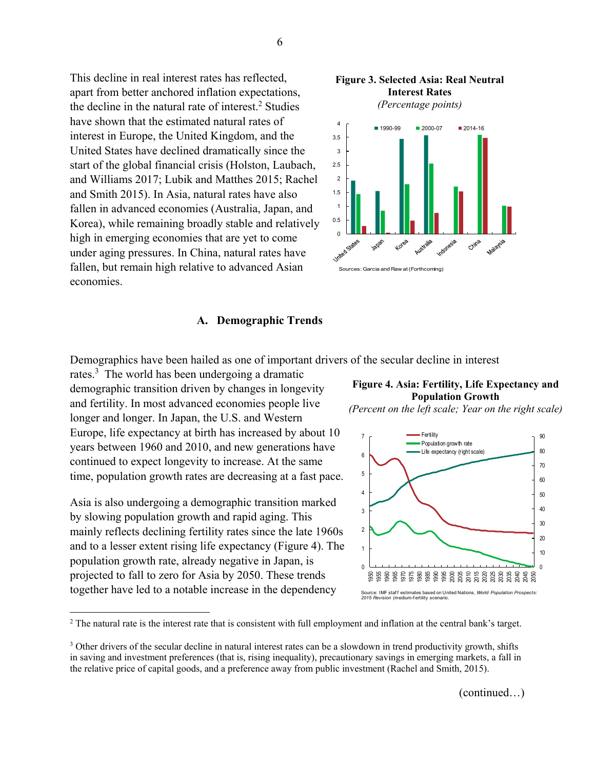This decline in real interest rates has reflected, apart from better anchored inflation expectations, the decline in the natural rate of interest.<sup>2</sup> Studies have shown that the estimated natural rates of interest in Europe, the United Kingdom, and the United States have declined dramatically since the start of the global financial crisis (Holston, Laubach, and Williams 2017; Lubik and Matthes 2015; Rachel and Smith 2015). In Asia, natural rates have also fallen in advanced economies (Australia, Japan, and Korea), while remaining broadly stable and relatively high in emerging economies that are yet to come under aging pressures. In China, natural rates have fallen, but remain high relative to advanced Asian economies.





### **A. Demographic Trends**

Demographics have been hailed as one of important drivers of the secular decline in interest

rates.<sup>3</sup> The world has been undergoing a dramatic demographic transition driven by changes in longevity and fertility. In most advanced economies people live longer and longer. In Japan, the U.S. and Western Europe, life expectancy at birth has increased by about 10 years between 1960 and 2010, and new generations have continued to expect longevity to increase. At the same time, population growth rates are decreasing at a fast pace.

Asia is also undergoing a demographic transition marked by slowing population growth and rapid aging. This mainly reflects declining fertility rates since the late 1960s and to a lesser extent rising life expectancy (Figure 4). The population growth rate, already negative in Japan, is projected to fall to zero for Asia by 2050. These trends together have led to a notable increase in the dependency

 $\overline{a}$ 

## **Figure 4. Asia: Fertility, Life Expectancy and Population Growth**

*(Percent on the left scale; Year on the right scale)*



 $2$  The natural rate is the interest rate that is consistent with full employment and inflation at the central bank's target.

(continued…)

<sup>&</sup>lt;sup>3</sup> Other drivers of the secular decline in natural interest rates can be a slowdown in trend productivity growth, shifts in saving and investment preferences (that is, rising inequality), precautionary savings in emerging markets, a fall in the relative price of capital goods, and a preference away from public investment (Rachel and Smith, 2015).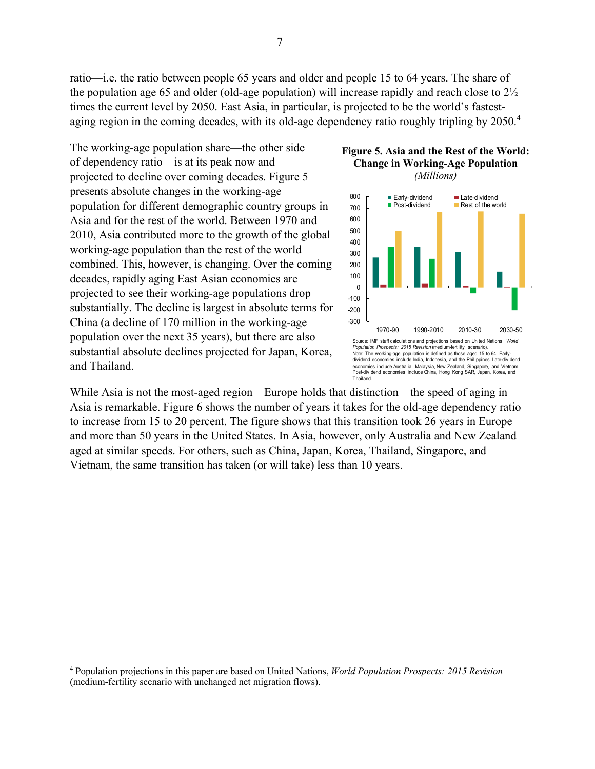ratio—i.e. the ratio between people 65 years and older and people 15 to 64 years. The share of the population age 65 and older (old-age population) will increase rapidly and reach close to 2½ times the current level by 2050. East Asia, in particular, is projected to be the world's fastestaging region in the coming decades, with its old-age dependency ratio roughly tripling by 2050.<sup>4</sup>

The working-age population share—the other side of dependency ratio—is at its peak now and projected to decline over coming decades. Figure 5 presents absolute changes in the working-age population for different demographic country groups in Asia and for the rest of the world. Between 1970 and 2010, Asia contributed more to the growth of the global working-age population than the rest of the world combined. This, however, is changing. Over the coming decades, rapidly aging East Asian economies are projected to see their working-age populations drop substantially. The decline is largest in absolute terms for China (a decline of 170 million in the working-age population over the next 35 years), but there are also substantial absolute declines projected for Japan, Korea, and Thailand.

 $\overline{a}$ 

# **Figure 5. Asia and the Rest of the World: Change in Working-Age Population**

*(Millions)*



While Asia is not the most-aged region—Europe holds that distinction—the speed of aging in Asia is remarkable. Figure 6 shows the number of years it takes for the old-age dependency ratio to increase from 15 to 20 percent. The figure shows that this transition took 26 years in Europe and more than 50 years in the United States. In Asia, however, only Australia and New Zealand aged at similar speeds. For others, such as China, Japan, Korea, Thailand, Singapore, and Vietnam, the same transition has taken (or will take) less than 10 years.

<sup>4</sup> Population projections in this paper are based on United Nations, *World Population Prospects: 2015 Revision* (medium-fertility scenario with unchanged net migration flows).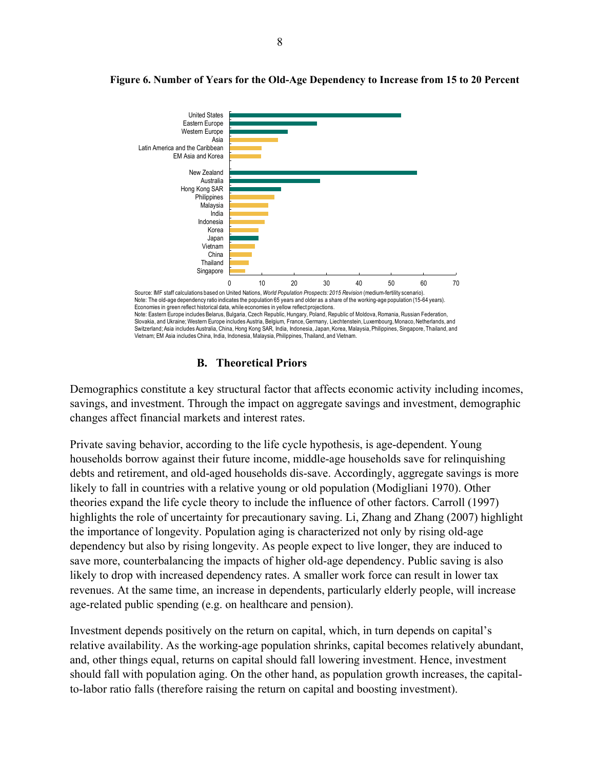

## **Figure 6. Number of Years for the Old-Age Dependency to Increase from 15 to 20 Percent**

# **B. Theoretical Priors**

Demographics constitute a key structural factor that affects economic activity including incomes, savings, and investment. Through the impact on aggregate savings and investment, demographic changes affect financial markets and interest rates.

Private saving behavior, according to the life cycle hypothesis, is age-dependent. Young households borrow against their future income, middle-age households save for relinquishing debts and retirement, and old-aged households dis-save. Accordingly, aggregate savings is more likely to fall in countries with a relative young or old population (Modigliani 1970). Other theories expand the life cycle theory to include the influence of other factors. Carroll (1997) highlights the role of uncertainty for precautionary saving. Li, Zhang and Zhang (2007) highlight the importance of longevity. Population aging is characterized not only by rising old-age dependency but also by rising longevity. As people expect to live longer, they are induced to save more, counterbalancing the impacts of higher old-age dependency. Public saving is also likely to drop with increased dependency rates. A smaller work force can result in lower tax revenues. At the same time, an increase in dependents, particularly elderly people, will increase age-related public spending (e.g. on healthcare and pension).

Investment depends positively on the return on capital, which, in turn depends on capital's relative availability. As the working-age population shrinks, capital becomes relatively abundant, and, other things equal, returns on capital should fall lowering investment. Hence, investment should fall with population aging. On the other hand, as population growth increases, the capitalto-labor ratio falls (therefore raising the return on capital and boosting investment).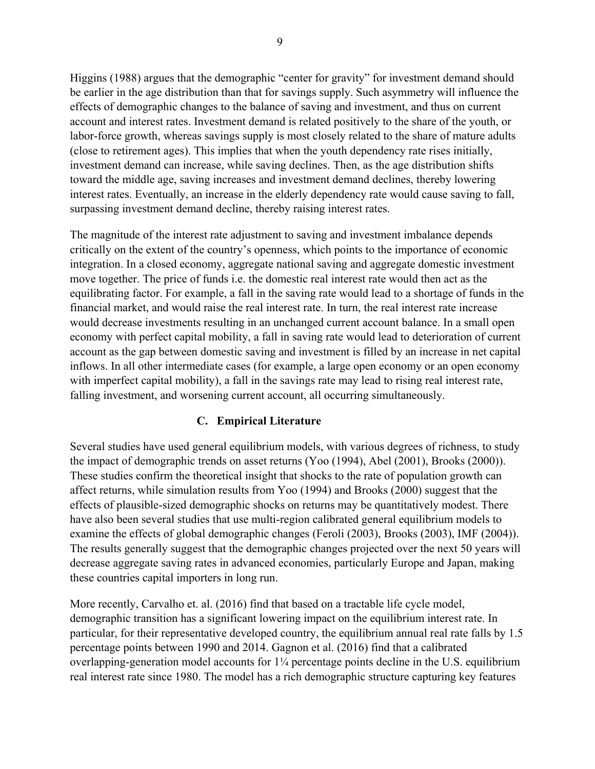Higgins (1988) argues that the demographic "center for gravity" for investment demand should be earlier in the age distribution than that for savings supply. Such asymmetry will influence the effects of demographic changes to the balance of saving and investment, and thus on current account and interest rates. Investment demand is related positively to the share of the youth, or labor-force growth, whereas savings supply is most closely related to the share of mature adults (close to retirement ages). This implies that when the youth dependency rate rises initially, investment demand can increase, while saving declines. Then, as the age distribution shifts toward the middle age, saving increases and investment demand declines, thereby lowering interest rates. Eventually, an increase in the elderly dependency rate would cause saving to fall, surpassing investment demand decline, thereby raising interest rates.

The magnitude of the interest rate adjustment to saving and investment imbalance depends critically on the extent of the country's openness, which points to the importance of economic integration. In a closed economy, aggregate national saving and aggregate domestic investment move together. The price of funds i.e. the domestic real interest rate would then act as the equilibrating factor. For example, a fall in the saving rate would lead to a shortage of funds in the financial market, and would raise the real interest rate. In turn, the real interest rate increase would decrease investments resulting in an unchanged current account balance. In a small open economy with perfect capital mobility, a fall in saving rate would lead to deterioration of current account as the gap between domestic saving and investment is filled by an increase in net capital inflows. In all other intermediate cases (for example, a large open economy or an open economy with imperfect capital mobility), a fall in the savings rate may lead to rising real interest rate, falling investment, and worsening current account, all occurring simultaneously.

## **C. Empirical Literature**

Several studies have used general equilibrium models, with various degrees of richness, to study the impact of demographic trends on asset returns (Yoo (1994), Abel (2001), Brooks (2000)). These studies confirm the theoretical insight that shocks to the rate of population growth can affect returns, while simulation results from Yoo (1994) and Brooks (2000) suggest that the effects of plausible-sized demographic shocks on returns may be quantitatively modest. There have also been several studies that use multi-region calibrated general equilibrium models to examine the effects of global demographic changes (Feroli (2003), Brooks (2003), IMF (2004)). The results generally suggest that the demographic changes projected over the next 50 years will decrease aggregate saving rates in advanced economies, particularly Europe and Japan, making these countries capital importers in long run.

More recently, Carvalho et. al. (2016) find that based on a tractable life cycle model, demographic transition has a significant lowering impact on the equilibrium interest rate. In particular, for their representative developed country, the equilibrium annual real rate falls by 1.5 percentage points between 1990 and 2014. Gagnon et al. (2016) find that a calibrated overlapping-generation model accounts for 1¼ percentage points decline in the U.S. equilibrium real interest rate since 1980. The model has a rich demographic structure capturing key features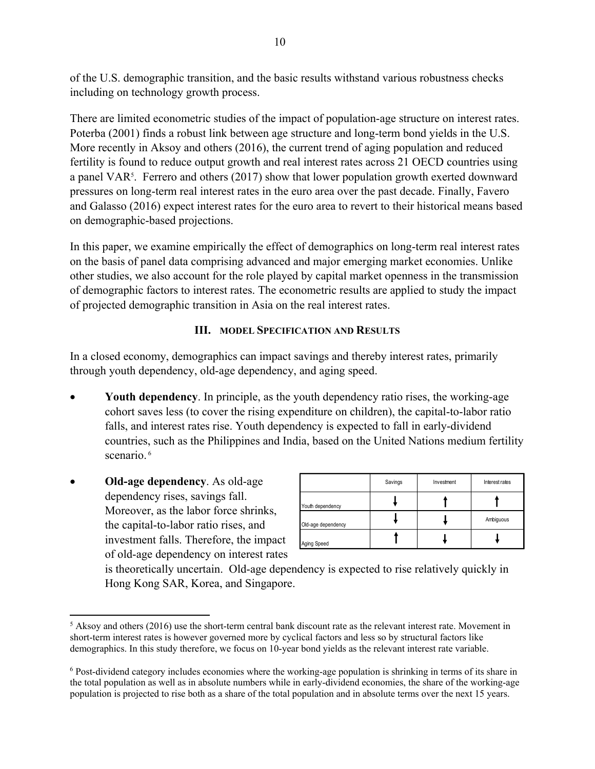of the U.S. demographic transition, and the basic results withstand various robustness checks including on technology growth process.

There are limited econometric studies of the impact of population-age structure on interest rates. Poterba (2001) finds a robust link between age structure and long-term bond yields in the U.S. More recently in Aksoy and others (2016), the current trend of aging population and reduced fertility is found to reduce output growth and real interest rates across 21 OECD countries using a panel VAR<sup>5</sup>. Ferrero and others (2017) show that lower population growth exerted downward pressures on long-term real interest rates in the euro area over the past decade. Finally, Favero and Galasso (2016) expect interest rates for the euro area to revert to their historical means based on demographic-based projections.

In this paper, we examine empirically the effect of demographics on long-term real interest rates on the basis of panel data comprising advanced and major emerging market economies. Unlike other studies, we also account for the role played by capital market openness in the transmission of demographic factors to interest rates. The econometric results are applied to study the impact of projected demographic transition in Asia on the real interest rates.

## **III. MODEL SPECIFICATION AND RESULTS**

In a closed economy, demographics can impact savings and thereby interest rates, primarily through youth dependency, old-age dependency, and aging speed.

- **Youth dependency**. In principle, as the youth dependency ratio rises, the working-age cohort saves less (to cover the rising expenditure on children), the capital-to-labor ratio falls, and interest rates rise. Youth dependency is expected to fall in early-dividend countries, such as the Philippines and India, based on the United Nations medium fertility scenario.<sup>6</sup>
- **Old-age dependency**. As old-age dependency rises, savings fall. Moreover, as the labor force shrinks, the capital-to-labor ratio rises, and investment falls. Therefore, the impact of old-age dependency on interest rates

|                    | Savings | Investment | <b>Interest rates</b> |
|--------------------|---------|------------|-----------------------|
| Youth dependency   |         |            |                       |
| Old-age dependency |         |            | Ambiguous             |
| Aging Speed        |         |            |                       |

is theoretically uncertain. Old-age dependency is expected to rise relatively quickly in Hong Kong SAR, Korea, and Singapore.

 $\overline{a}$  $<sup>5</sup>$  Aksoy and others (2016) use the short-term central bank discount rate as the relevant interest rate. Movement in</sup> short-term interest rates is however governed more by cyclical factors and less so by structural factors like demographics. In this study therefore, we focus on 10-year bond yields as the relevant interest rate variable.

<sup>&</sup>lt;sup>6</sup> Post-dividend category includes economies where the working-age population is shrinking in terms of its share in the total population as well as in absolute numbers while in early-dividend economies, the share of the working-age population is projected to rise both as a share of the total population and in absolute terms over the next 15 years.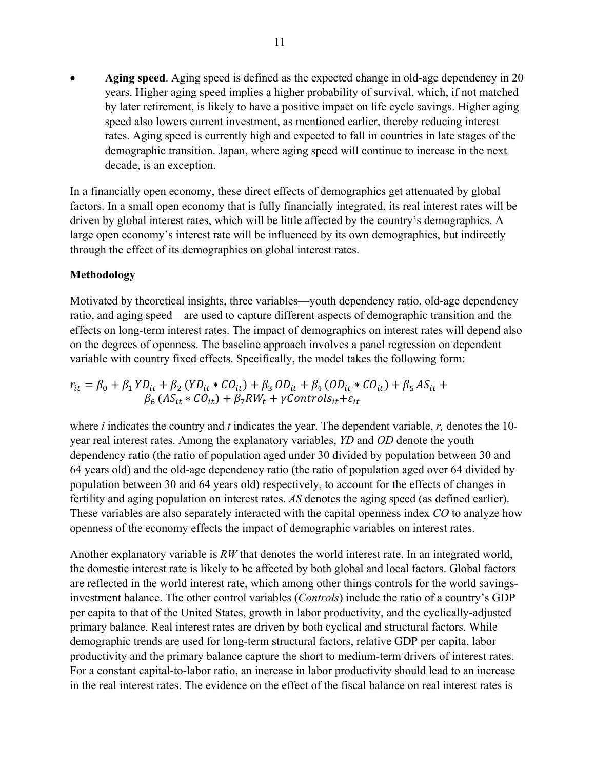**Aging speed**. Aging speed is defined as the expected change in old-age dependency in 20 years. Higher aging speed implies a higher probability of survival, which, if not matched by later retirement, is likely to have a positive impact on life cycle savings. Higher aging speed also lowers current investment, as mentioned earlier, thereby reducing interest rates. Aging speed is currently high and expected to fall in countries in late stages of the demographic transition. Japan, where aging speed will continue to increase in the next decade, is an exception.

In a financially open economy, these direct effects of demographics get attenuated by global factors. In a small open economy that is fully financially integrated, its real interest rates will be driven by global interest rates, which will be little affected by the country's demographics. A large open economy's interest rate will be influenced by its own demographics, but indirectly through the effect of its demographics on global interest rates.

## **Methodology**

Motivated by theoretical insights, three variables—youth dependency ratio, old-age dependency ratio, and aging speed—are used to capture different aspects of demographic transition and the effects on long-term interest rates. The impact of demographics on interest rates will depend also on the degrees of openness. The baseline approach involves a panel regression on dependent variable with country fixed effects. Specifically, the model takes the following form:

$$
r_{it} = \beta_0 + \beta_1 Y D_{it} + \beta_2 (Y D_{it} * CO_{it}) + \beta_3 OD_{it} + \beta_4 (OD_{it} * CO_{it}) + \beta_5 AS_{it} + \beta_6 (AS_{it} * CO_{it}) + \beta_7 RW_t + \gamma Controls_{it} + \varepsilon_{it}
$$

where *i* indicates the country and *t* indicates the year. The dependent variable, *r,* denotes the 10 year real interest rates. Among the explanatory variables, *YD* and *OD* denote the youth dependency ratio (the ratio of population aged under 30 divided by population between 30 and 64 years old) and the old-age dependency ratio (the ratio of population aged over 64 divided by population between 30 and 64 years old) respectively, to account for the effects of changes in fertility and aging population on interest rates. *AS* denotes the aging speed (as defined earlier). These variables are also separately interacted with the capital openness index *CO* to analyze how openness of the economy effects the impact of demographic variables on interest rates.

Another explanatory variable is *RW* that denotes the world interest rate. In an integrated world, the domestic interest rate is likely to be affected by both global and local factors. Global factors are reflected in the world interest rate, which among other things controls for the world savingsinvestment balance. The other control variables (*Controls*) include the ratio of a country's GDP per capita to that of the United States, growth in labor productivity, and the cyclically-adjusted primary balance. Real interest rates are driven by both cyclical and structural factors. While demographic trends are used for long-term structural factors, relative GDP per capita, labor productivity and the primary balance capture the short to medium-term drivers of interest rates. For a constant capital-to-labor ratio, an increase in labor productivity should lead to an increase in the real interest rates. The evidence on the effect of the fiscal balance on real interest rates is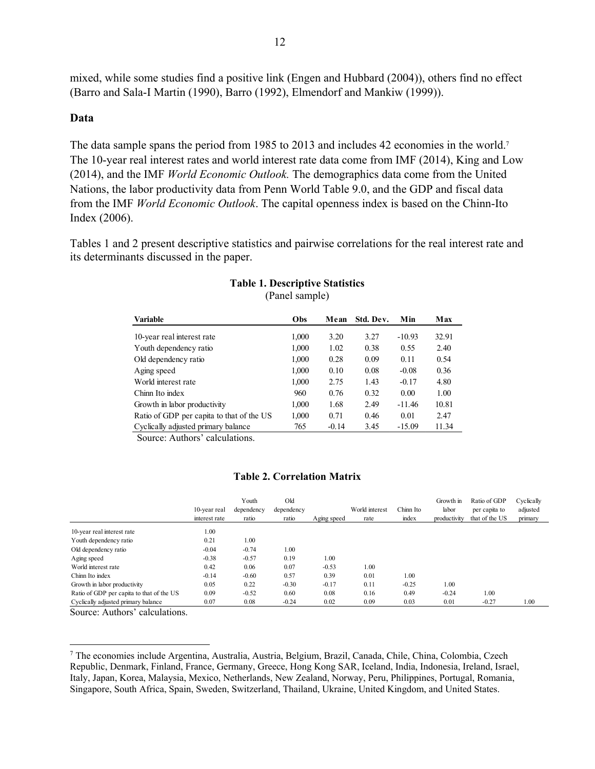mixed, while some studies find a positive link (Engen and Hubbard (2004)), others find no effect (Barro and Sala-I Martin (1990), Barro (1992), Elmendorf and Mankiw (1999)).

## **Data**

The data sample spans the period from 1985 to 2013 and includes 42 economies in the world.<sup>7</sup> The 10-year real interest rates and world interest rate data come from IMF (2014), King and Low (2014), and the IMF *World Economic Outlook.* The demographics data come from the United Nations, the labor productivity data from Penn World Table 9.0, and the GDP and fiscal data from the IMF *World Economic Outlook*. The capital openness index is based on the Chinn-Ito Index (2006).

Tables 1 and 2 present descriptive statistics and pairwise correlations for the real interest rate and its determinants discussed in the paper.

| <b>Variable</b>                           | Obs   | Mean    | Std. Dev. | Min      | Max   |
|-------------------------------------------|-------|---------|-----------|----------|-------|
| 10-year real interest rate                | 1,000 | 3.20    | 3.27      | $-10.93$ | 32.91 |
| Youth dependency ratio                    | 1,000 | 1.02    | 0.38      | 0.55     | 2.40  |
| Old dependency ratio                      | 1,000 | 0.28    | 0.09      | 0.11     | 0.54  |
| Aging speed                               | 1,000 | 0.10    | 0.08      | $-0.08$  | 0.36  |
| World interest rate                       | 1,000 | 2.75    | 1.43      | $-0.17$  | 4.80  |
| Chinn Ito index                           | 960   | 0.76    | 0.32      | 0.00     | 1.00  |
| Growth in labor productivity              | 1,000 | 1.68    | 2.49      | $-11.46$ | 10.81 |
| Ratio of GDP per capita to that of the US | 1,000 | 0.71    | 0.46      | 0.01     | 2.47  |
| Cyclically adjusted primary balance       | 765   | $-0.14$ | 3.45      | $-15.09$ | 11.34 |

#### **Table 1. Descriptive Statistics**  (Panel sample)

Source: Authors' calculations.

## **Table 2. Correlation Matrix**

|                                           | 10-year real  | Youth<br>dependency | Old<br>dependency |             | World interest | Chinn Ito | Growth in<br>labor | Ratio of GDP<br>per capita to | Cyclically<br>adjusted |
|-------------------------------------------|---------------|---------------------|-------------------|-------------|----------------|-----------|--------------------|-------------------------------|------------------------|
|                                           | interest rate | ratio               | ratio             | Aging speed | rate           | index     | productivity       | that of the US                | primary                |
| 10-year real interest rate                | 1.00          |                     |                   |             |                |           |                    |                               |                        |
| Youth dependency ratio                    | 0.21          | 1.00                |                   |             |                |           |                    |                               |                        |
| Old dependency ratio                      | $-0.04$       | $-0.74$             | 1.00              |             |                |           |                    |                               |                        |
| Aging speed                               | $-0.38$       | $-0.57$             | 0.19              | 1.00        |                |           |                    |                               |                        |
| World interest rate                       | 0.42          | 0.06                | 0.07              | $-0.53$     | 1.00           |           |                    |                               |                        |
| Chinn Ito index                           | $-0.14$       | $-0.60$             | 0.57              | 0.39        | 0.01           | 1.00      |                    |                               |                        |
| Growth in labor productivity              | 0.05          | 0.22                | $-0.30$           | $-0.17$     | 0.11           | $-0.25$   | 1.00               |                               |                        |
| Ratio of GDP per capita to that of the US | 0.09          | $-0.52$             | 0.60              | 0.08        | 0.16           | 0.49      | $-0.24$            | 1.00                          |                        |
| Cyclically adjusted primary balance       | 0.07          | 0.08                | $-0.24$           | 0.02        | 0.09           | 0.03      | 0.01               | $-0.27$                       | 1.00                   |

Source: Authors' calculations.

 $\overline{a}$ 

<sup>7</sup> The economies include Argentina, Australia, Austria, Belgium, Brazil, Canada, Chile, China, Colombia, Czech Republic, Denmark, Finland, France, Germany, Greece, Hong Kong SAR, Iceland, India, Indonesia, Ireland, Israel, Italy, Japan, Korea, Malaysia, Mexico, Netherlands, New Zealand, Norway, Peru, Philippines, Portugal, Romania, Singapore, South Africa, Spain, Sweden, Switzerland, Thailand, Ukraine, United Kingdom, and United States.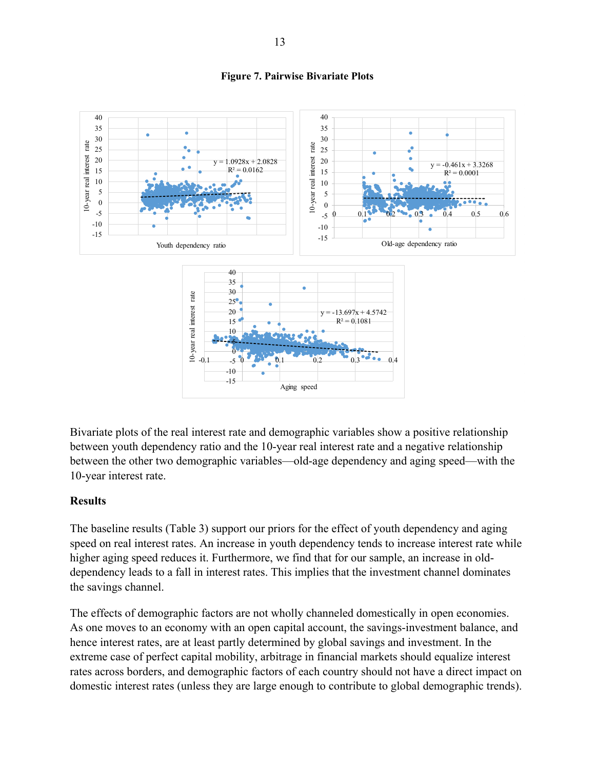

**Figure 7. Pairwise Bivariate Plots** 

Bivariate plots of the real interest rate and demographic variables show a positive relationship between youth dependency ratio and the 10-year real interest rate and a negative relationship between the other two demographic variables—old-age dependency and aging speed—with the 10-year interest rate.

## **Results**

The baseline results (Table 3) support our priors for the effect of youth dependency and aging speed on real interest rates. An increase in youth dependency tends to increase interest rate while higher aging speed reduces it. Furthermore, we find that for our sample, an increase in olddependency leads to a fall in interest rates. This implies that the investment channel dominates the savings channel.

The effects of demographic factors are not wholly channeled domestically in open economies. As one moves to an economy with an open capital account, the savings-investment balance, and hence interest rates, are at least partly determined by global savings and investment. In the extreme case of perfect capital mobility, arbitrage in financial markets should equalize interest rates across borders, and demographic factors of each country should not have a direct impact on domestic interest rates (unless they are large enough to contribute to global demographic trends).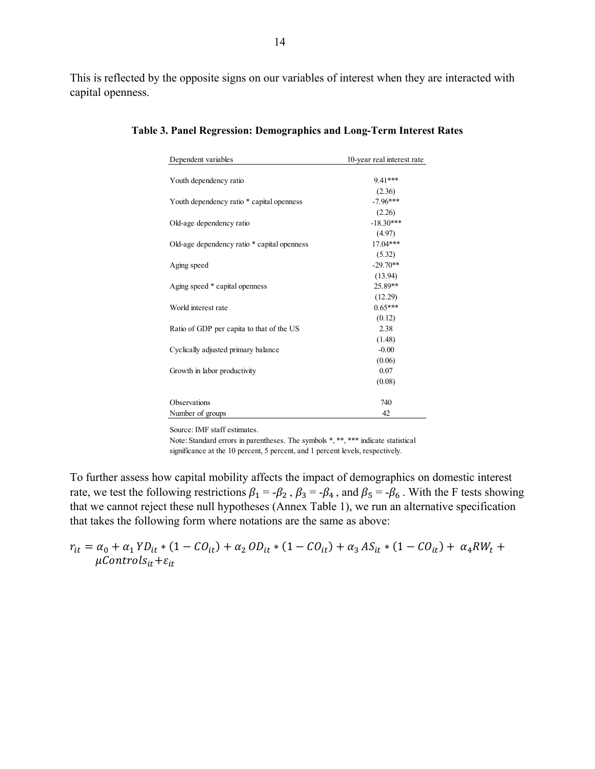This is reflected by the opposite signs on our variables of interest when they are interacted with capital openness.

| Dependent variables                         | 10-year real interest rate |
|---------------------------------------------|----------------------------|
|                                             |                            |
| Youth dependency ratio                      | $9.41***$                  |
|                                             | (2.36)                     |
| Youth dependency ratio * capital openness   | $-7.96***$                 |
|                                             | (2.26)                     |
| Old-age dependency ratio                    | $-18.30***$                |
|                                             | (4.97)                     |
| Old-age dependency ratio * capital openness | $17.04***$                 |
|                                             | (5.32)                     |
| Aging speed                                 | $-29.70**$                 |
|                                             | (13.94)                    |
| Aging speed * capital openness              | 25.89**                    |
|                                             | (12.29)                    |
| World interest rate                         | $0.65***$                  |
|                                             | (0.12)                     |
| Ratio of GDP per capita to that of the US   | 2.38                       |
|                                             | (1.48)                     |
| Cyclically adjusted primary balance         | $-0.00$                    |
|                                             | (0.06)                     |
| Growth in labor productivity                | 0.07                       |
|                                             | (0.08)                     |
| Observations                                | 740                        |
| Number of groups                            | 42                         |

**Table 3. Panel Regression: Demographics and Long-Term Interest Rates** 

Source: IMF staff estimates.

Note: Standard errors in parentheses. The symbols \*, \*\*, \*\*\* indicate statistical significance at the 10 percent, 5 percent, and 1 percent levels, respectively.

To further assess how capital mobility affects the impact of demographics on domestic interest rate, we test the following restrictions  $\beta_1 = -\beta_2$ ,  $\beta_3 = -\beta_4$ , and  $\beta_5 = -\beta_6$ . With the F tests showing that we cannot reject these null hypotheses (Annex Table 1), we run an alternative specification that takes the following form where notations are the same as above:

$$
r_{it} = \alpha_0 + \alpha_1 Y D_{it} * (1 - C O_{it}) + \alpha_2 O D_{it} * (1 - C O_{it}) + \alpha_3 AS_{it} * (1 - C O_{it}) + \alpha_4 RW_t + \mu Control S_{it} + \varepsilon_{it}
$$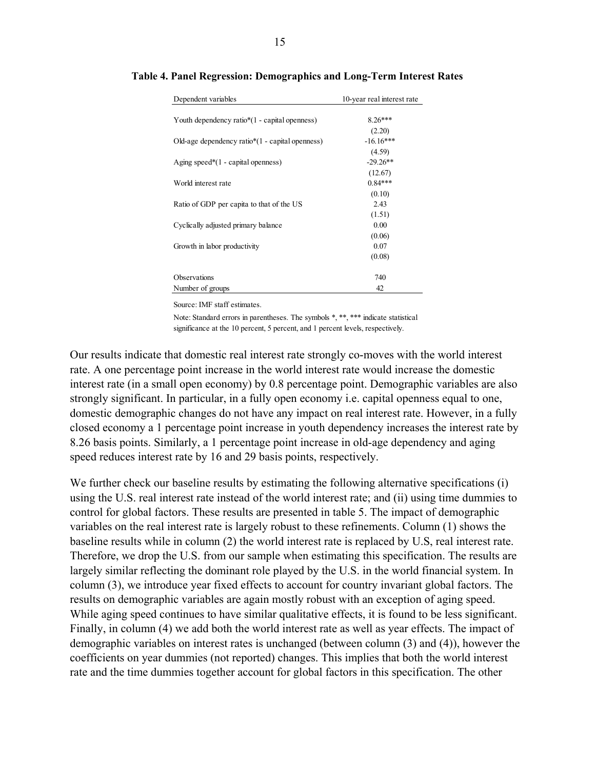| Dependent variables                                | 10-year real interest rate |
|----------------------------------------------------|----------------------------|
|                                                    |                            |
| Youth dependency ratio*(1 - capital openness)      | $8.26***$                  |
|                                                    | (2.20)                     |
| Old-age dependency ratio $*(1 -$ capital openness) | $-16.16***$                |
|                                                    | (4.59)                     |
| Aging speed* $(1 -$ capital openness)              | $-29.26**$                 |
|                                                    | (12.67)                    |
| World interest rate                                | $0.84***$                  |
|                                                    | (0.10)                     |
| Ratio of GDP per capita to that of the US          | 2.43                       |
|                                                    | (1.51)                     |
| Cyclically adjusted primary balance                | 0.00                       |
|                                                    | (0.06)                     |
| Growth in labor productivity                       | 0.07                       |
|                                                    | (0.08)                     |
|                                                    |                            |
| Observations                                       | 740                        |
| Number of groups                                   | 42                         |

**Table 4. Panel Regression: Demographics and Long-Term Interest Rates**

Source: IMF staff estimates.

Note: Standard errors in parentheses. The symbols \*, \*\*, \*\*\* indicate statistical significance at the 10 percent, 5 percent, and 1 percent levels, respectively.

Our results indicate that domestic real interest rate strongly co-moves with the world interest rate. A one percentage point increase in the world interest rate would increase the domestic interest rate (in a small open economy) by 0.8 percentage point. Demographic variables are also strongly significant. In particular, in a fully open economy i.e. capital openness equal to one, domestic demographic changes do not have any impact on real interest rate. However, in a fully closed economy a 1 percentage point increase in youth dependency increases the interest rate by 8.26 basis points. Similarly, a 1 percentage point increase in old-age dependency and aging speed reduces interest rate by 16 and 29 basis points, respectively.

We further check our baseline results by estimating the following alternative specifications (i) using the U.S. real interest rate instead of the world interest rate; and (ii) using time dummies to control for global factors. These results are presented in table 5. The impact of demographic variables on the real interest rate is largely robust to these refinements. Column (1) shows the baseline results while in column (2) the world interest rate is replaced by U.S, real interest rate. Therefore, we drop the U.S. from our sample when estimating this specification. The results are largely similar reflecting the dominant role played by the U.S. in the world financial system. In column (3), we introduce year fixed effects to account for country invariant global factors. The results on demographic variables are again mostly robust with an exception of aging speed. While aging speed continues to have similar qualitative effects, it is found to be less significant. Finally, in column (4) we add both the world interest rate as well as year effects. The impact of demographic variables on interest rates is unchanged (between column (3) and (4)), however the coefficients on year dummies (not reported) changes. This implies that both the world interest rate and the time dummies together account for global factors in this specification. The other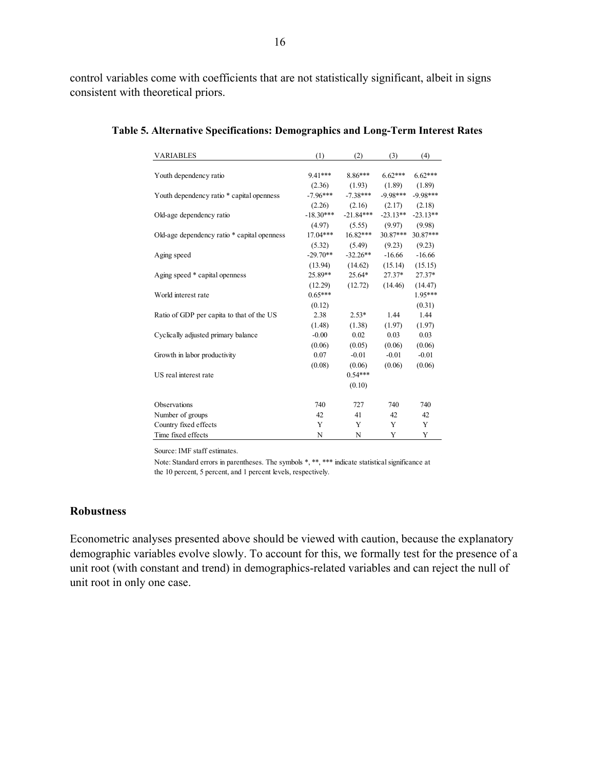control variables come with coefficients that are not statistically significant, albeit in signs consistent with theoretical priors.

| <b>VARIABLES</b>                            | (1)         | (2)         | (3)        | (4)        |
|---------------------------------------------|-------------|-------------|------------|------------|
|                                             |             |             |            |            |
| Youth dependency ratio                      | $9.41***$   | 8.86***     | $6.62***$  | $6.62***$  |
|                                             | (2.36)      | (1.93)      | (1.89)     | (1.89)     |
| Youth dependency ratio * capital openness   | $-7.96***$  | $-7.38***$  | $-9.98***$ | $-9.98***$ |
|                                             | (2.26)      | (2.16)      | (2.17)     | (2.18)     |
| Old-age dependency ratio                    | $-18.30***$ | $-21.84***$ | $-23.13**$ | $-23.13**$ |
|                                             | (4.97)      | (5.55)      | (9.97)     | (9.98)     |
| Old-age dependency ratio * capital openness | $17.04***$  | $16.82***$  | $30.87***$ | 30.87***   |
|                                             | (5.32)      | (5.49)      | (9.23)     | (9.23)     |
| Aging speed                                 | $-29.70**$  | $-32.26**$  | $-16.66$   | $-16.66$   |
|                                             | (13.94)     | (14.62)     | (15.14)    | (15.15)    |
| Aging speed * capital openness              | 25.89**     | 25.64*      | $27.37*$   | 27.37*     |
|                                             | (12.29)     | (12.72)     | (14.46)    | (14.47)    |
| World interest rate                         | $0.65***$   |             |            | 1.95***    |
|                                             | (0.12)      |             |            | (0.31)     |
| Ratio of GDP per capita to that of the US   | 2.38        | $2.53*$     | 1.44       | 1.44       |
|                                             | (1.48)      | (1.38)      | (1.97)     | (1.97)     |
| Cyclically adjusted primary balance         | $-0.00$     | 0.02        | 0.03       | 0.03       |
|                                             | (0.06)      | (0.05)      | (0.06)     | (0.06)     |
| Growth in labor productivity                | 0.07        | $-0.01$     | $-0.01$    | $-0.01$    |
|                                             | (0.08)      | (0.06)      | (0.06)     | (0.06)     |
| US real interest rate                       |             | $0.54***$   |            |            |
|                                             |             | (0.10)      |            |            |
| Observations                                | 740         | 727         | 740        | 740        |
| Number of groups                            | 42          | 41          | 42         | 42         |
| Country fixed effects                       | Y           | Y           | Y          | Y          |
| Time fixed effects                          | N           | N           | Y          | Y          |

**Table 5. Alternative Specifications: Demographics and Long-Term Interest Rates** 

Source: IMF staff estimates.

Note: Standard errors in parentheses. The symbols \*, \*\*, \*\*\* indicate statistical significance at the 10 percent, 5 percent, and 1 percent levels, respectively.

#### **Robustness**

Econometric analyses presented above should be viewed with caution, because the explanatory demographic variables evolve slowly. To account for this, we formally test for the presence of a unit root (with constant and trend) in demographics-related variables and can reject the null of unit root in only one case.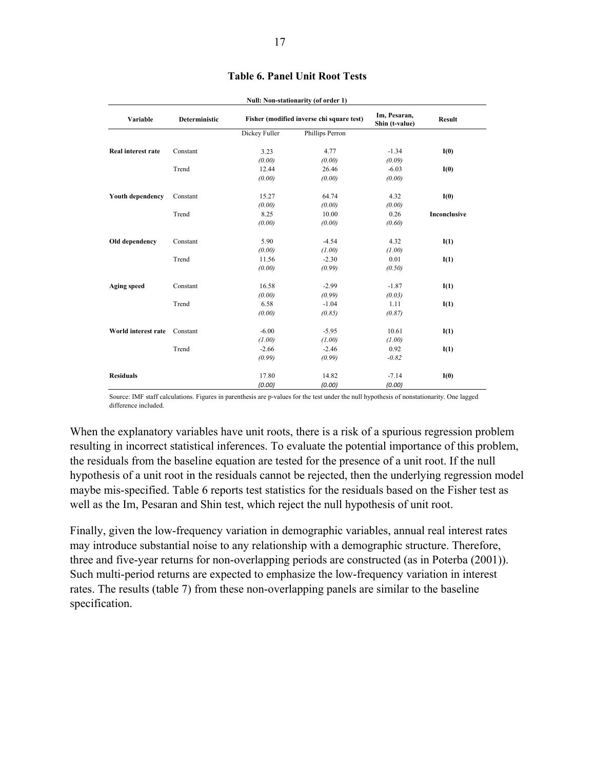| Variable                | Deterministic |               | Fisher (modified inverse chi square test) | Im, Pesaran,<br>Shin (t-value) | <b>Result</b> |
|-------------------------|---------------|---------------|-------------------------------------------|--------------------------------|---------------|
|                         |               | Dickey Fuller | Phillips Perron                           |                                |               |
| Real interest rate      | Constant      | 3.23          | 4.77                                      | $-1.34$                        | I(0)          |
|                         |               | (0.00)        | (0.00)                                    | (0.09)                         |               |
|                         | Trend         | 12.44         | 26.46                                     | $-6.03$                        | I(0)          |
|                         |               | (0.00)        | (0.00)                                    | (0.00)                         |               |
| <b>Youth dependency</b> | Constant      | 15.27         | 64.74                                     | 4.32                           | I(0)          |
|                         |               | (0.00)        | (0.00)                                    | (0.00)                         |               |
|                         | Trend         | 8.25          | 10.00                                     | 0.26                           | Inconclusive  |
|                         |               | (0.00)        | (0.00)                                    | (0.60)                         |               |
| Old dependency          | Constant      | 5.90          | $-4.54$                                   | 4.32                           | I(1)          |
|                         |               | (0.00)        | (1.00)                                    | (1.00)                         |               |
|                         | Trend         | 11.56         | $-2.30$                                   | 0.01                           | I(1)          |
|                         |               | (0.00)        | (0.99)                                    | (0.50)                         |               |
| <b>Aging speed</b>      | Constant      | 16.58         | $-2.99$                                   | $-1.87$                        | I(1)          |
|                         |               | (0.00)        | (0.99)                                    | (0.03)                         |               |
|                         | Trend         | 6.58          | $-1.04$                                   | 1.11                           | I(1)          |
|                         |               | (0.00)        | (0.85)                                    | (0.87)                         |               |
| World interest rate     | Constant      | $-6.00$       | $-5.95$                                   | 10.61                          | I(1)          |
|                         |               | (1.00)        | (1.00)                                    | (1.00)                         |               |
|                         | Trend         | $-2.66$       | $-2.46$                                   | 0.92                           | I(1)          |
|                         |               | (0.99)        | (0.99)                                    | $-0.82$                        |               |
| <b>Residuals</b>        |               | 17.80         | 14.82                                     | $-7.14$                        | I(0)          |
|                         |               | (0.00)        | (0.00)                                    | (0.00)                         |               |

#### **Table 6. Panel Unit Root Tests**

**Null: Non-stationarity (of order 1)**

Source: IMF staff calculations. Figures in parenthesis are p-values for the test under the null hypothesis of nonstationarity. One lagged difference included.

When the explanatory variables have unit roots, there is a risk of a spurious regression problem resulting in incorrect statistical inferences. To evaluate the potential importance of this problem, the residuals from the baseline equation are tested for the presence of a unit root. If the null hypothesis of a unit root in the residuals cannot be rejected, then the underlying regression model maybe mis-specified. Table 6 reports test statistics for the residuals based on the Fisher test as well as the Im, Pesaran and Shin test, which reject the null hypothesis of unit root.

Finally, given the low-frequency variation in demographic variables, annual real interest rates may introduce substantial noise to any relationship with a demographic structure. Therefore, three and five-year returns for non-overlapping periods are constructed (as in Poterba (2001)). Such multi-period returns are expected to emphasize the low-frequency variation in interest rates. The results (table 7) from these non-overlapping panels are similar to the baseline specification.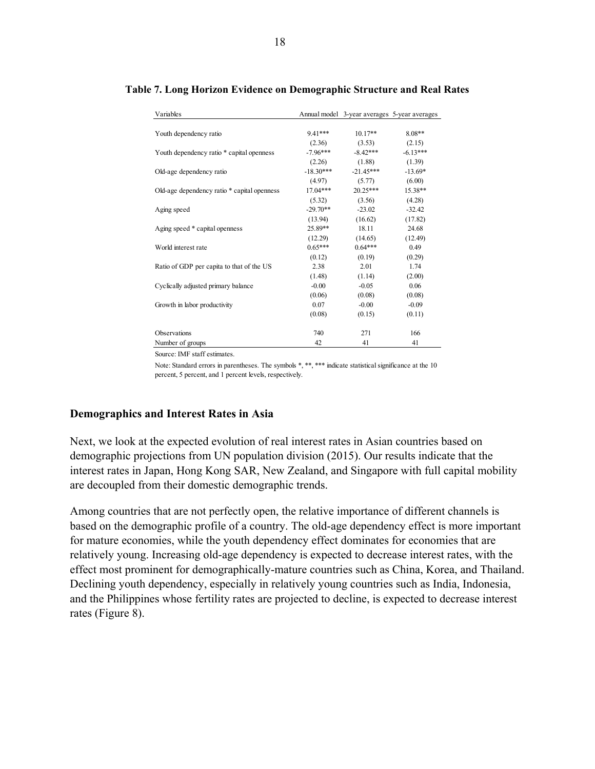| Variables                                   |             | Annual model 3-year averages 5-year averages |            |
|---------------------------------------------|-------------|----------------------------------------------|------------|
|                                             |             |                                              |            |
| Youth dependency ratio                      | $9.41***$   | $10.17**$                                    | $8.08**$   |
|                                             | (2.36)      | (3.53)                                       | (2.15)     |
| Youth dependency ratio * capital openness   | $-7.96***$  | $-8.42***$                                   | $-6.13***$ |
|                                             | (2.26)      | (1.88)                                       | (1.39)     |
| Old-age dependency ratio                    | $-18.30***$ | $-21.45***$                                  | $-13.69*$  |
|                                             | (4.97)      | (5.77)                                       | (6.00)     |
| Old-age dependency ratio * capital openness | 17.04***    | $20.25***$                                   | 15.38**    |
|                                             | (5.32)      | (3.56)                                       | (4.28)     |
| Aging speed                                 | $-29.70**$  | $-23.02$                                     | $-32.42$   |
|                                             | (13.94)     | (16.62)                                      | (17.82)    |
| Aging speed * capital openness              | 25.89**     | 18.11                                        | 24.68      |
|                                             | (12.29)     | (14.65)                                      | (12.49)    |
| World interest rate                         | $0.65***$   | $0.64***$                                    | 0.49       |
|                                             | (0.12)      | (0.19)                                       | (0.29)     |
| Ratio of GDP per capita to that of the US   | 2.38        | 2.01                                         | 1.74       |
|                                             | (1.48)      | (1.14)                                       | (2.00)     |
| Cyclically adjusted primary balance         | $-0.00$     | $-0.05$                                      | 0.06       |
|                                             | (0.06)      | (0.08)                                       | (0.08)     |
| Growth in labor productivity                | 0.07        | $-0.00$                                      | $-0.09$    |
|                                             | (0.08)      | (0.15)                                       | (0.11)     |
|                                             |             |                                              |            |
| Observations                                | 740         | 271                                          | 166        |
| Number of groups                            | 42          | 41                                           | 41         |

#### **Table 7. Long Horizon Evidence on Demographic Structure and Real Rates**

Source: IMF staff estimates.

Note: Standard errors in parentheses. The symbols \*, \*\*, \*\*\* indicate statistical significance at the 10 percent, 5 percent, and 1 percent levels, respectively.

## **Demographics and Interest Rates in Asia**

Next, we look at the expected evolution of real interest rates in Asian countries based on demographic projections from UN population division (2015). Our results indicate that the interest rates in Japan, Hong Kong SAR, New Zealand, and Singapore with full capital mobility are decoupled from their domestic demographic trends.

Among countries that are not perfectly open, the relative importance of different channels is based on the demographic profile of a country. The old-age dependency effect is more important for mature economies, while the youth dependency effect dominates for economies that are relatively young. Increasing old-age dependency is expected to decrease interest rates, with the effect most prominent for demographically-mature countries such as China, Korea, and Thailand. Declining youth dependency, especially in relatively young countries such as India, Indonesia, and the Philippines whose fertility rates are projected to decline, is expected to decrease interest rates (Figure 8).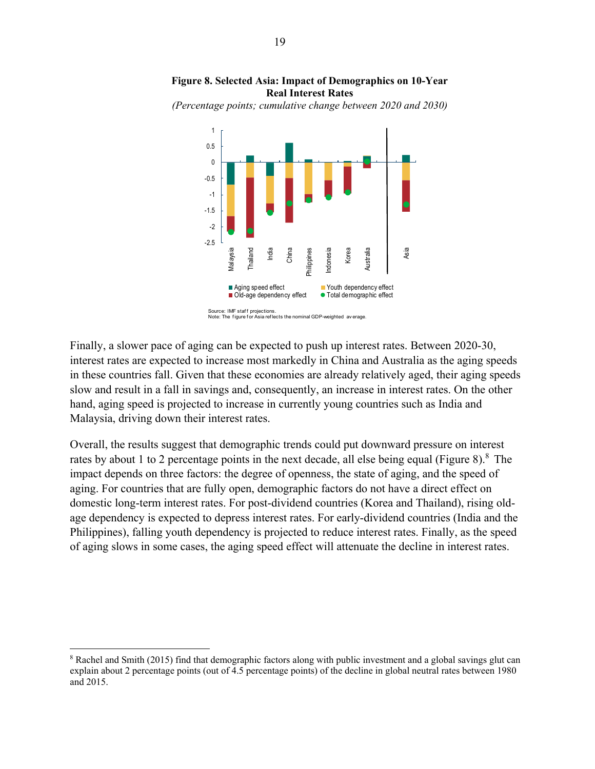

**Figure 8. Selected Asia: Impact of Demographics on 10-Year Real Interest Rates**

*(Percentage points; cumulative change between 2020 and 2030)*

Finally, a slower pace of aging can be expected to push up interest rates. Between 2020-30, interest rates are expected to increase most markedly in China and Australia as the aging speeds in these countries fall. Given that these economies are already relatively aged, their aging speeds slow and result in a fall in savings and, consequently, an increase in interest rates. On the other hand, aging speed is projected to increase in currently young countries such as India and Malaysia, driving down their interest rates.

Overall, the results suggest that demographic trends could put downward pressure on interest rates by about 1 to 2 percentage points in the next decade, all else being equal (Figure 8).<sup>8</sup> The impact depends on three factors: the degree of openness, the state of aging, and the speed of aging. For countries that are fully open, demographic factors do not have a direct effect on domestic long-term interest rates. For post-dividend countries (Korea and Thailand), rising oldage dependency is expected to depress interest rates. For early-dividend countries (India and the Philippines), falling youth dependency is projected to reduce interest rates. Finally, as the speed of aging slows in some cases, the aging speed effect will attenuate the decline in interest rates.

1

<sup>&</sup>lt;sup>8</sup> Rachel and Smith (2015) find that demographic factors along with public investment and a global savings glut can explain about 2 percentage points (out of 4.5 percentage points) of the decline in global neutral rates between 1980 and 2015.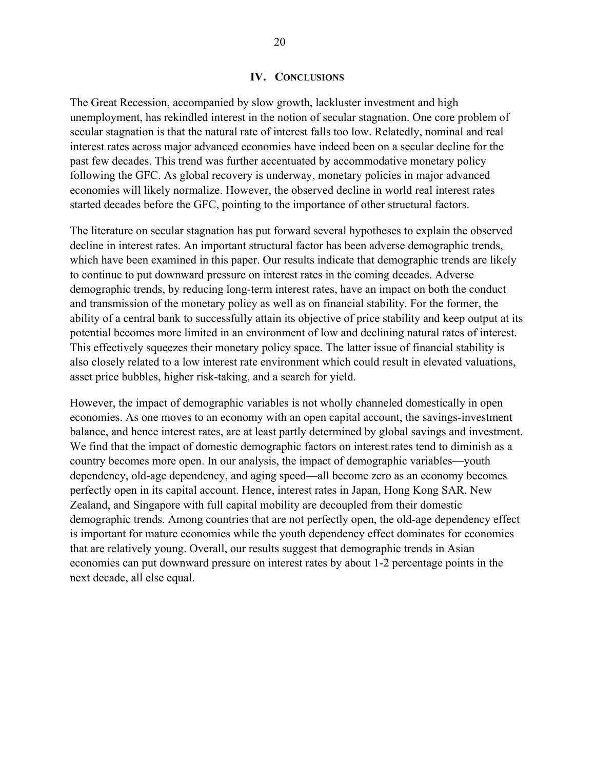#### **IV. CONCLUSIONS**

The Great Recession, accompanied by slow growth, lackluster investment and high unemployment, has rekindled interest in the notion of secular stagnation. One core problem of secular stagnation is that the natural rate of interest falls too low. Relatedly, nominal and real interest rates across major advanced economies have indeed been on a secular decline for the past few decades. This trend was further accentuated by accommodative monetary policy following the GFC. As global recovery is underway, monetary policies in major advanced economies will likely normalize. However, the observed decline in world real interest rates started decades before the GFC, pointing to the importance of other structural factors.

The literature on secular stagnation has put forward several hypotheses to explain the observed decline in interest rates. An important structural factor has been adverse demographic trends, which have been examined in this paper. Our results indicate that demographic trends are likely to continue to put downward pressure on interest rates in the coming decades. Adverse demographic trends, by reducing long-term interest rates, have an impact on both the conduct and transmission of the monetary policy as well as on financial stability. For the former, the ability of a central bank to successfully attain its objective of price stability and keep output at its potential becomes more limited in an environment of low and declining natural rates of interest. This effectively squeezes their monetary policy space. The latter issue of financial stability is also closely related to a low interest rate environment which could result in elevated valuations, asset price bubbles, higher risk-taking, and a search for yield.

However, the impact of demographic variables is not wholly channeled domestically in open economies. As one moves to an economy with an open capital account, the savings-investment balance, and hence interest rates, are at least partly determined by global savings and investment. We find that the impact of domestic demographic factors on interest rates tend to diminish as a country becomes more open. In our analysis, the impact of demographic variables—youth dependency, old-age dependency, and aging speed—all become zero as an economy becomes perfectly open in its capital account. Hence, interest rates in Japan, Hong Kong SAR, New Zealand, and Singapore with full capital mobility are decoupled from their domestic demographic trends. Among countries that are not perfectly open, the old-age dependency effect is important for mature economies while the youth dependency effect dominates for economies that are relatively young. Overall, our results suggest that demographic trends in Asian economies can put downward pressure on interest rates by about 1-2 percentage points in the next decade, all else equal.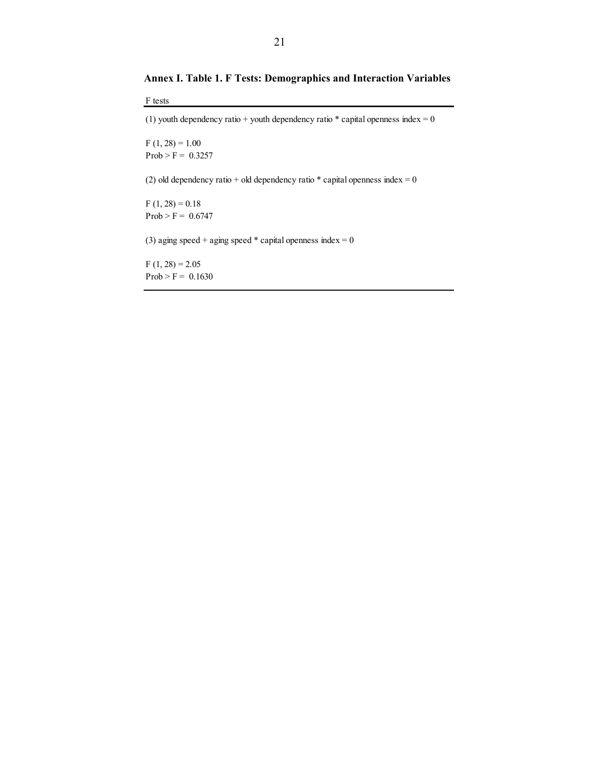**Annex I. Table 1. F Tests: Demographics and Interaction Variables** 

F tests

(1) youth dependency ratio + youth dependency ratio  $*$  capital openness index = 0

 $F(1, 28) = 1.00$  $Prob > F = 0.3257$ 

(2) old dependency ratio + old dependency ratio  $*$  capital openness index = 0

 $F(1, 28) = 0.18$  $Prob > F = 0.6747$ 

(3) aging speed + aging speed  $*$  capital openness index = 0

 $F(1, 28) = 2.05$  $Prob > F = 0.1630$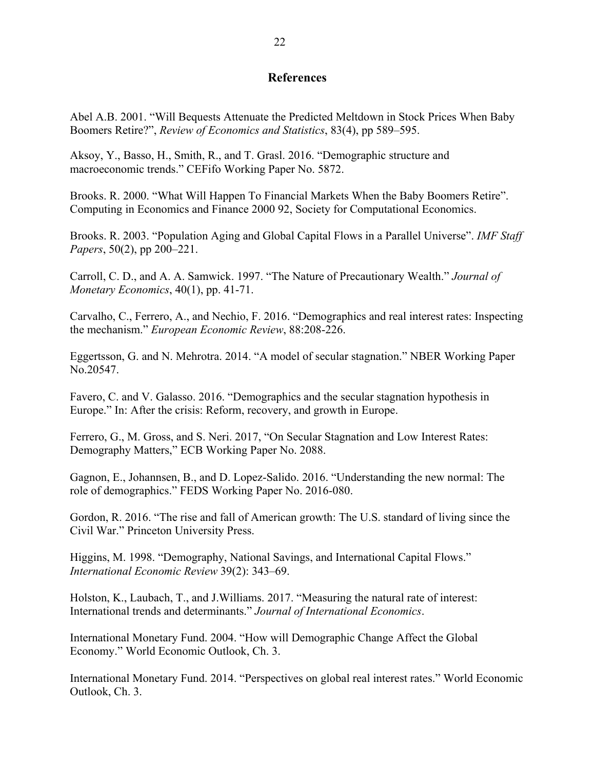## **References**

Abel A.B. 2001. "Will Bequests Attenuate the Predicted Meltdown in Stock Prices When Baby Boomers Retire?", *Review of Economics and Statistics*, 83(4), pp 589–595.

Aksoy, Y., Basso, H., Smith, R., and T. Grasl. 2016. "Demographic structure and macroeconomic trends." CEFifo Working Paper No. 5872.

Brooks. R. 2000. "What Will Happen To Financial Markets When the Baby Boomers Retire". Computing in Economics and Finance 2000 92, Society for Computational Economics.

Brooks. R. 2003. "Population Aging and Global Capital Flows in a Parallel Universe". *IMF Staff Papers*, 50(2), pp 200–221.

Carroll, C. D., and A. A. Samwick. 1997. "The Nature of Precautionary Wealth." *Journal of Monetary Economics*, 40(1), pp. 41-71.

Carvalho, C., Ferrero, A., and Nechio, F. 2016. "Demographics and real interest rates: Inspecting the mechanism." *European Economic Review*, 88:208-226.

Eggertsson, G. and N. Mehrotra. 2014. "A model of secular stagnation." NBER Working Paper No.20547.

Favero, C. and V. Galasso. 2016. "Demographics and the secular stagnation hypothesis in Europe." In: After the crisis: Reform, recovery, and growth in Europe.

Ferrero, G., M. Gross, and S. Neri. 2017, "On Secular Stagnation and Low Interest Rates: Demography Matters," ECB Working Paper No. 2088.

Gagnon, E., Johannsen, B., and D. Lopez-Salido. 2016. "Understanding the new normal: The role of demographics." FEDS Working Paper No. 2016-080.

Gordon, R. 2016. "The rise and fall of American growth: The U.S. standard of living since the Civil War." Princeton University Press.

Higgins, M. 1998. "Demography, National Savings, and International Capital Flows." *International Economic Review* 39(2): 343–69.

Holston, K., Laubach, T., and J.Williams. 2017. "Measuring the natural rate of interest: International trends and determinants." *Journal of International Economics*.

International Monetary Fund. 2004. "How will Demographic Change Affect the Global Economy." World Economic Outlook, Ch. 3.

International Monetary Fund. 2014. "Perspectives on global real interest rates." World Economic Outlook, Ch. 3.